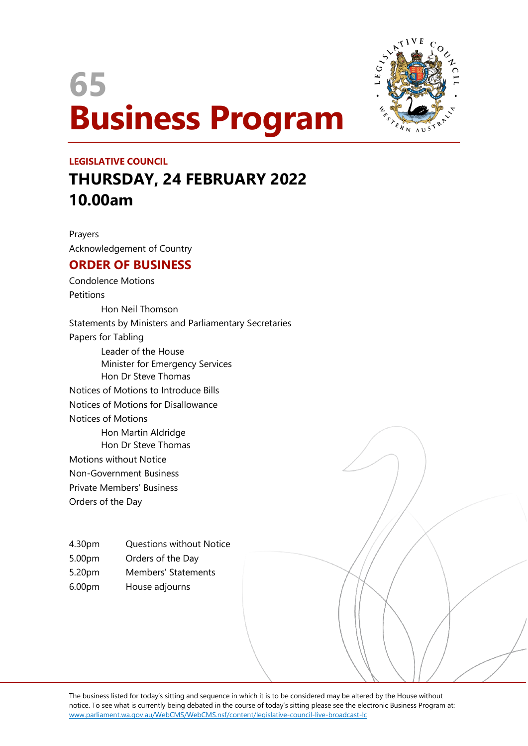# **65 Business Program**



## **LEGISLATIVE COUNCIL THURSDAY, 24 FEBRUARY 2022 10.00am**

Prayers Acknowledgement of Country

### **ORDER OF BUSINESS**

Condolence Motions **Petitions** Hon Neil Thomson Statements by Ministers and Parliamentary Secretaries Papers for Tabling Leader of the House Minister for Emergency Services Hon Dr Steve Thomas Notices of Motions to Introduce Bills Notices of Motions for Disallowance Notices of Motions Hon Martin Aldridge Hon Dr Steve Thomas Motions without Notice Non-Government Business Private Members' Business

Orders of the Day

4.30pm Questions without Notice

- 5.00pm Orders of the Day
- 5.20pm Members' Statements
- 6.00pm House adjourns

The business listed for today's sitting and sequence in which it is to be considered may be altered by the House without notice. To see what is currently being debated in the course of today's sitting please see the electronic Business Program at: www.parliament.wa.gov.au/WebCMS/WebCMS.nsf/content/legislative-council-live-broadcast-lc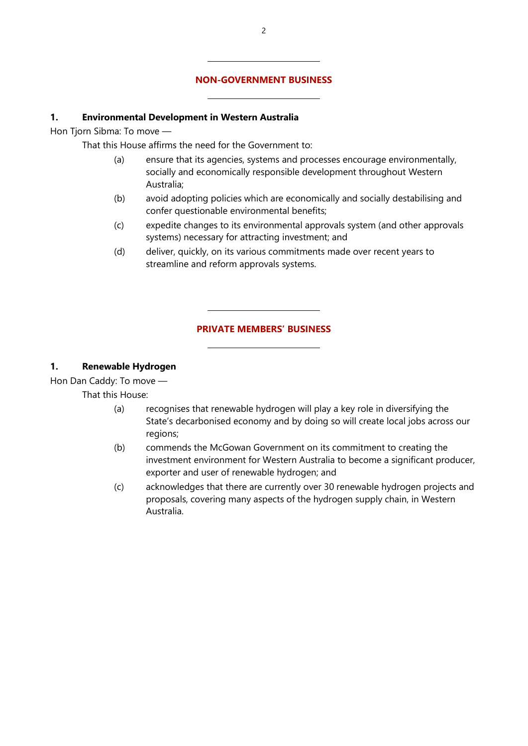#### **NON-GOVERNMENT BUSINESS**

#### **1. Environmental Development in Western Australia**

Hon Tjorn Sibma: To move —

That this House affirms the need for the Government to:

 $\overline{a}$ 

 $\overline{a}$ 

 $\overline{a}$ 

 $\overline{a}$ 

- (a) ensure that its agencies, systems and processes encourage environmentally, socially and economically responsible development throughout Western Australia;
- (b) avoid adopting policies which are economically and socially destabilising and confer questionable environmental benefits;
- (c) expedite changes to its environmental approvals system (and other approvals systems) necessary for attracting investment; and
- (d) deliver, quickly, on its various commitments made over recent years to streamline and reform approvals systems.

#### **PRIVATE MEMBERS' BUSINESS**

#### **1. Renewable Hydrogen**

Hon Dan Caddy: To move —

That this House:

- (a) recognises that renewable hydrogen will play a key role in diversifying the State's decarbonised economy and by doing so will create local jobs across our regions;
- (b) commends the McGowan Government on its commitment to creating the investment environment for Western Australia to become a significant producer, exporter and user of renewable hydrogen; and
- (c) acknowledges that there are currently over 30 renewable hydrogen projects and proposals, covering many aspects of the hydrogen supply chain, in Western Australia.